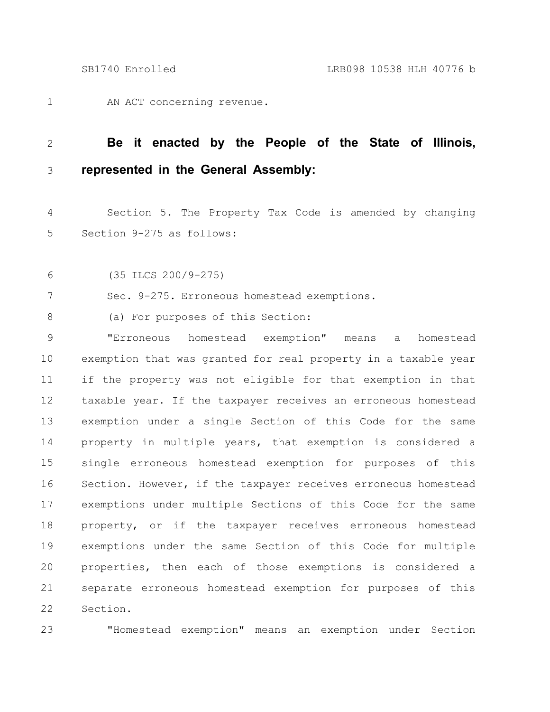AN ACT concerning revenue. 1

## **Be it enacted by the People of the State of Illinois, represented in the General Assembly:** 2 3

Section 5. The Property Tax Code is amended by changing Section 9-275 as follows: 4 5

(35 ILCS 200/9-275) 6

Sec. 9-275. Erroneous homestead exemptions. 7

(a) For purposes of this Section: 8

"Erroneous homestead exemption" means a homestead exemption that was granted for real property in a taxable year if the property was not eligible for that exemption in that taxable year. If the taxpayer receives an erroneous homestead exemption under a single Section of this Code for the same property in multiple years, that exemption is considered a single erroneous homestead exemption for purposes of this Section. However, if the taxpayer receives erroneous homestead exemptions under multiple Sections of this Code for the same property, or if the taxpayer receives erroneous homestead exemptions under the same Section of this Code for multiple properties, then each of those exemptions is considered a separate erroneous homestead exemption for purposes of this Section. 9 10 11 12 13 14 15 16 17 18 19 20 21 22

23

"Homestead exemption" means an exemption under Section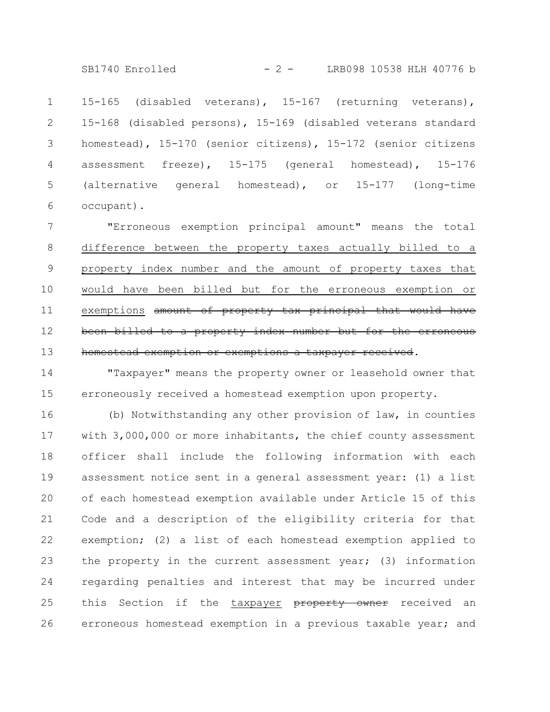SB1740 Enrolled - 2 - LRB098 10538 HLH 40776 b

15-165 (disabled veterans), 15-167 (returning veterans), 15-168 (disabled persons), 15-169 (disabled veterans standard homestead), 15-170 (senior citizens), 15-172 (senior citizens assessment freeze), 15-175 (general homestead), 15-176 (alternative general homestead), or 15-177 (long-time occupant). 1 2 3 4 5 6

"Erroneous exemption principal amount" means the total difference between the property taxes actually billed to a property index number and the amount of property taxes that would have been billed but for the erroneous exemption or exemptions amount of property tax principal that would have been billed to a property index number but for the erroneous homestead exemption or exemptions a taxpayer received. 7 8 9 10 11 12 13

"Taxpayer" means the property owner or leasehold owner that erroneously received a homestead exemption upon property. 14 15

(b) Notwithstanding any other provision of law, in counties with 3,000,000 or more inhabitants, the chief county assessment officer shall include the following information with each assessment notice sent in a general assessment year: (1) a list of each homestead exemption available under Article 15 of this Code and a description of the eligibility criteria for that exemption; (2) a list of each homestead exemption applied to the property in the current assessment year; (3) information regarding penalties and interest that may be incurred under this Section if the taxpayer property owner received an erroneous homestead exemption in a previous taxable year; and 16 17 18 19 20 21 22 23 24 25 26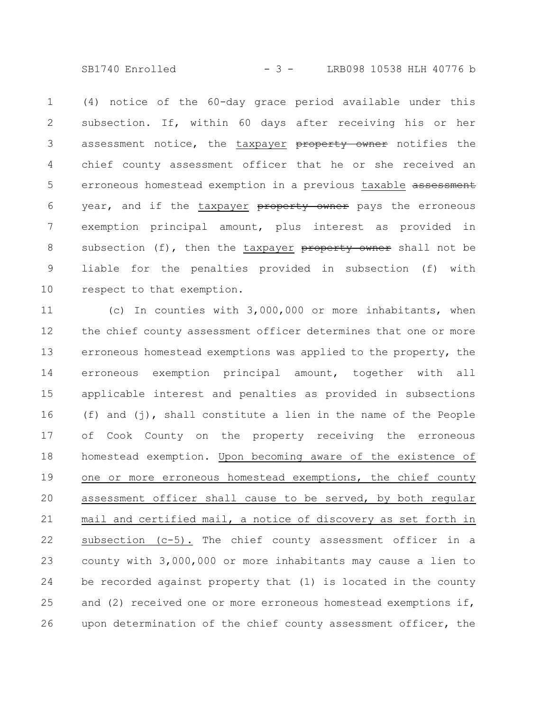SB1740 Enrolled - 3 - LRB098 10538 HLH 40776 b

(4) notice of the 60-day grace period available under this subsection. If, within 60 days after receiving his or her assessment notice, the taxpayer property owner notifies the chief county assessment officer that he or she received an erroneous homestead exemption in a previous taxable assessment year, and if the taxpayer property owner pays the erroneous exemption principal amount, plus interest as provided in subsection  $(f)$ , then the taxpayer property owner shall not be liable for the penalties provided in subsection (f) with respect to that exemption. 1 2 3 4 5 6 7 8 9 10

(c) In counties with 3,000,000 or more inhabitants, when the chief county assessment officer determines that one or more erroneous homestead exemptions was applied to the property, the erroneous exemption principal amount, together with all applicable interest and penalties as provided in subsections (f) and (j), shall constitute a lien in the name of the People of Cook County on the property receiving the erroneous homestead exemption. Upon becoming aware of the existence of one or more erroneous homestead exemptions, the chief county assessment officer shall cause to be served, by both regular mail and certified mail, a notice of discovery as set forth in subsection (c-5). The chief county assessment officer in a county with 3,000,000 or more inhabitants may cause a lien to be recorded against property that (1) is located in the county and (2) received one or more erroneous homestead exemptions if, upon determination of the chief county assessment officer, the 11 12 13 14 15 16 17 18 19 20 21 22 23 24 25 26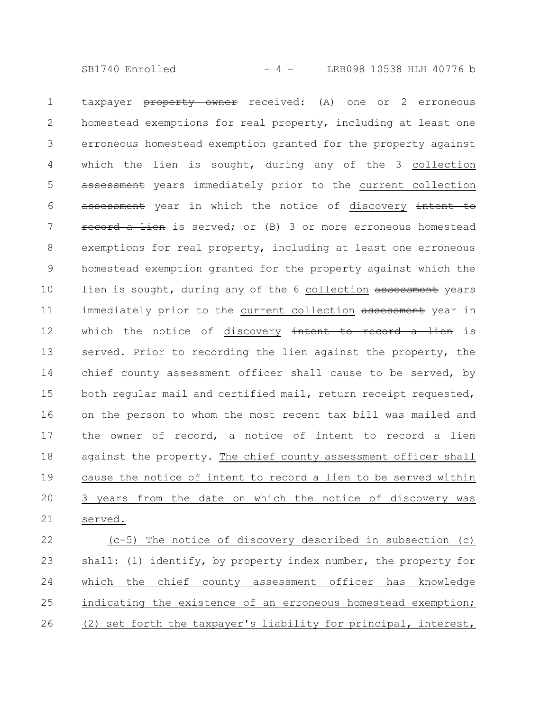SB1740 Enrolled - 4 - LRB098 10538 HLH 40776 b

taxpayer **property owner** received: (A) one or 2 erroneous homestead exemptions for real property, including at least one erroneous homestead exemption granted for the property against which the lien is sought, during any of the 3 collection assessment years immediately prior to the current collection assessment year in which the notice of discovery intent to record a lien is served; or (B) 3 or more erroneous homestead exemptions for real property, including at least one erroneous homestead exemption granted for the property against which the lien is sought, during any of the 6 collection assessment years immediately prior to the current collection assessment year in which the notice of discovery intent to record a lien is served. Prior to recording the lien against the property, the chief county assessment officer shall cause to be served, by both regular mail and certified mail, return receipt requested, on the person to whom the most recent tax bill was mailed and the owner of record, a notice of intent to record a lien against the property. The chief county assessment officer shall cause the notice of intent to record a lien to be served within 3 years from the date on which the notice of discovery was served. 1 2 3 4 5 6 7 8 9 10 11 12 13 14 15 16 17 18 19 20 21

(c-5) The notice of discovery described in subsection (c) shall: (1) identify, by property index number, the property for which the chief county assessment officer has knowledge indicating the existence of an erroneous homestead exemption; (2) set forth the taxpayer's liability for principal, interest, 22 23 24 25 26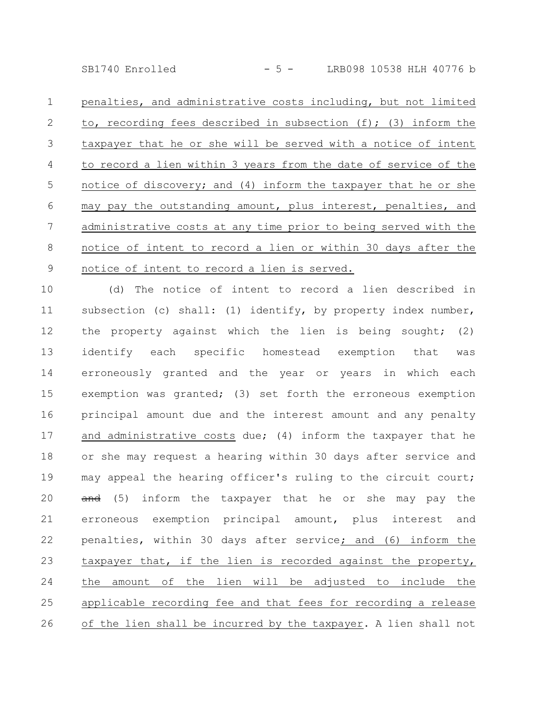SB1740 Enrolled - 5 - LRB098 10538 HLH 40776 b

penalties, and administrative costs including, but not limited to, recording fees described in subsection (f); (3) inform the taxpayer that he or she will be served with a notice of intent to record a lien within 3 years from the date of service of the notice of discovery; and (4) inform the taxpayer that he or she may pay the outstanding amount, plus interest, penalties, and administrative costs at any time prior to being served with the notice of intent to record a lien or within 30 days after the notice of intent to record a lien is served. 1 2 3 4 5 6 7 8 9

(d) The notice of intent to record a lien described in subsection (c) shall: (1) identify, by property index number, the property against which the lien is being sought; (2) identify each specific homestead exemption that was erroneously granted and the year or years in which each exemption was granted; (3) set forth the erroneous exemption principal amount due and the interest amount and any penalty and administrative costs due; (4) inform the taxpayer that he or she may request a hearing within 30 days after service and may appeal the hearing officer's ruling to the circuit court; and (5) inform the taxpayer that he or she may pay the erroneous exemption principal amount, plus interest and penalties, within 30 days after service; and (6) inform the taxpayer that, if the lien is recorded against the property, the amount of the lien will be adjusted to include the applicable recording fee and that fees for recording a release of the lien shall be incurred by the taxpayer. A lien shall not 10 11 12 13 14 15 16 17 18 19 20 21 22 23 24 25 26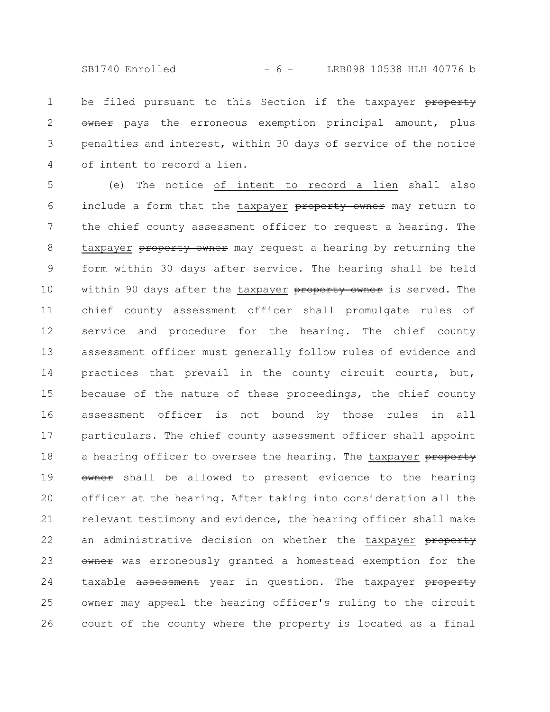SB1740 Enrolled - 6 - LRB098 10538 HLH 40776 b

be filed pursuant to this Section if the taxpayer property owner pays the erroneous exemption principal amount, plus penalties and interest, within 30 days of service of the notice of intent to record a lien. 1 2 3 4

(e) The notice of intent to record a lien shall also include a form that the taxpayer property owner may return to the chief county assessment officer to request a hearing. The taxpayer property owner may request a hearing by returning the form within 30 days after service. The hearing shall be held within 90 days after the taxpayer property owner is served. The chief county assessment officer shall promulgate rules of service and procedure for the hearing. The chief county assessment officer must generally follow rules of evidence and practices that prevail in the county circuit courts, but, because of the nature of these proceedings, the chief county assessment officer is not bound by those rules in all particulars. The chief county assessment officer shall appoint a hearing officer to oversee the hearing. The taxpayer property owner shall be allowed to present evidence to the hearing officer at the hearing. After taking into consideration all the relevant testimony and evidence, the hearing officer shall make an administrative decision on whether the taxpayer property owner was erroneously granted a homestead exemption for the taxable assessment year in question. The taxpayer property owner may appeal the hearing officer's ruling to the circuit court of the county where the property is located as a final 5 6 7 8 9 10 11 12 13 14 15 16 17 18 19 20 21 22 23 24 25 26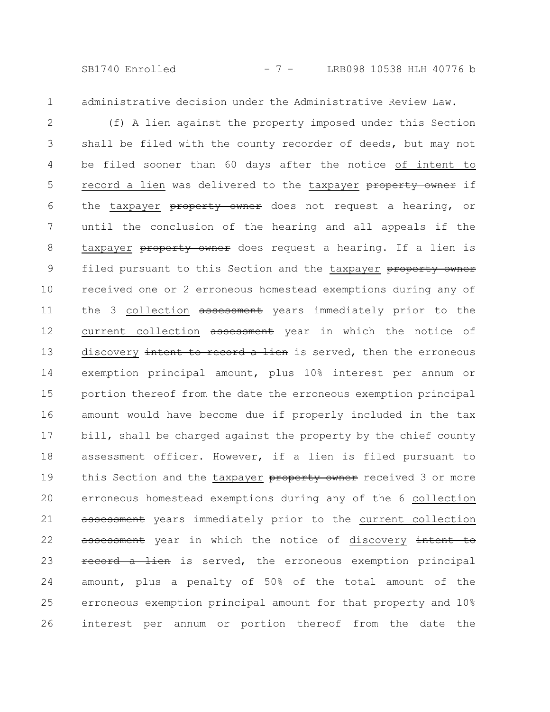SB1740 Enrolled - 7 - LRB098 10538 HLH 40776 b

1

administrative decision under the Administrative Review Law.

(f) A lien against the property imposed under this Section shall be filed with the county recorder of deeds, but may not be filed sooner than 60 days after the notice of intent to record a lien was delivered to the taxpayer property owner if the taxpayer property owner does not request a hearing, or until the conclusion of the hearing and all appeals if the taxpayer property owner does request a hearing. If a lien is filed pursuant to this Section and the taxpayer property owner received one or 2 erroneous homestead exemptions during any of the 3 collection assessment years immediately prior to the current collection assessment year in which the notice of discovery intent to record a lien is served, then the erroneous exemption principal amount, plus 10% interest per annum or portion thereof from the date the erroneous exemption principal amount would have become due if properly included in the tax bill, shall be charged against the property by the chief county assessment officer. However, if a lien is filed pursuant to this Section and the taxpayer property owner received 3 or more erroneous homestead exemptions during any of the 6 collection assessment years immediately prior to the current collection assessment year in which the notice of discovery intent to record a lien is served, the erroneous exemption principal amount, plus a penalty of 50% of the total amount of the erroneous exemption principal amount for that property and 10% interest per annum or portion thereof from the date the 2 3 4 5 6 7 8 9 10 11 12 13 14 15 16 17 18 19 20 21 22 23 24 25 26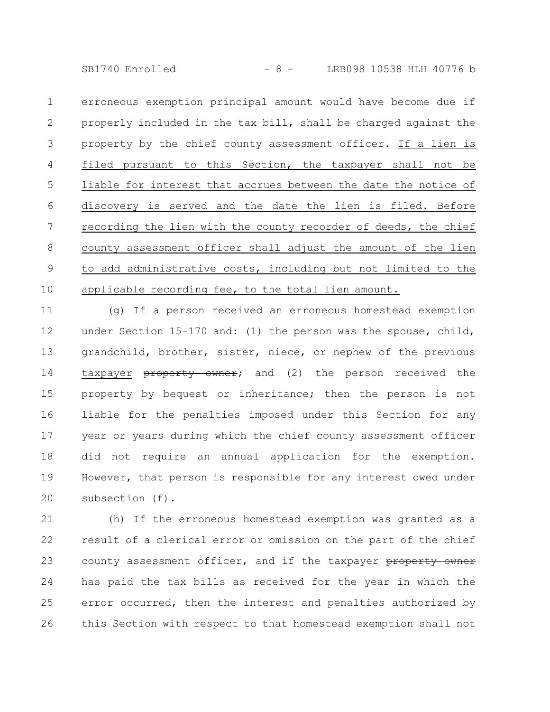SB1740 Enrolled - 8 - LRB098 10538 HLH 40776 b

erroneous exemption principal amount would have become due if properly included in the tax bill, shall be charged against the property by the chief county assessment officer. If a lien is filed pursuant to this Section, the taxpayer shall not be liable for interest that accrues between the date the notice of discovery is served and the date the lien is filed. Before recording the lien with the county recorder of deeds, the chief county assessment officer shall adjust the amount of the lien to add administrative costs, including but not limited to the applicable recording fee, to the total lien amount. 1 2 3 4 5 6 7 8 9 10

(g) If a person received an erroneous homestead exemption under Section 15-170 and: (1) the person was the spouse, child, grandchild, brother, sister, niece, or nephew of the previous taxpayer **property owner;** and (2) the person received the property by bequest or inheritance; then the person is not liable for the penalties imposed under this Section for any year or years during which the chief county assessment officer did not require an annual application for the exemption. However, that person is responsible for any interest owed under subsection (f). 11 12 13 14 15 16 17 18 19 20

(h) If the erroneous homestead exemption was granted as a result of a clerical error or omission on the part of the chief county assessment officer, and if the taxpayer property owner has paid the tax bills as received for the year in which the error occurred, then the interest and penalties authorized by this Section with respect to that homestead exemption shall not 21 22 23 24 25 26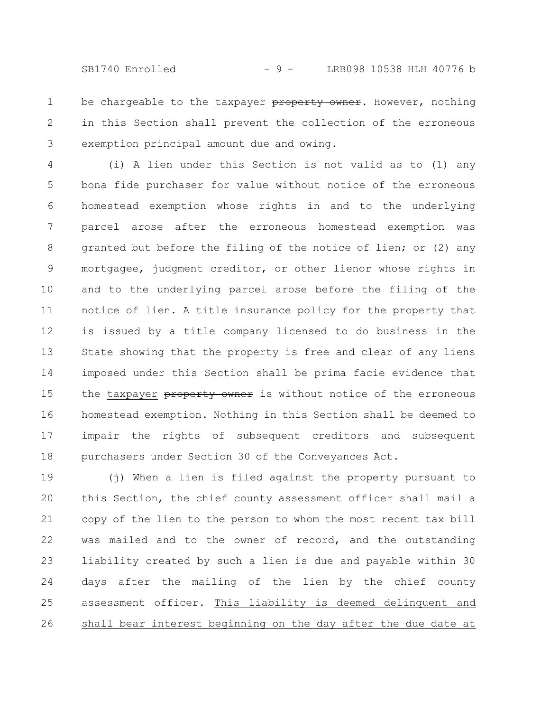be chargeable to the taxpayer property owner. However, nothing in this Section shall prevent the collection of the erroneous exemption principal amount due and owing. 1 2 3

(i) A lien under this Section is not valid as to (1) any bona fide purchaser for value without notice of the erroneous homestead exemption whose rights in and to the underlying parcel arose after the erroneous homestead exemption was granted but before the filing of the notice of lien; or (2) any mortgagee, judgment creditor, or other lienor whose rights in and to the underlying parcel arose before the filing of the notice of lien. A title insurance policy for the property that is issued by a title company licensed to do business in the State showing that the property is free and clear of any liens imposed under this Section shall be prima facie evidence that the taxpayer property owner is without notice of the erroneous homestead exemption. Nothing in this Section shall be deemed to impair the rights of subsequent creditors and subsequent purchasers under Section 30 of the Conveyances Act. 4 5 6 7 8 9 10 11 12 13 14 15 16 17 18

(j) When a lien is filed against the property pursuant to this Section, the chief county assessment officer shall mail a copy of the lien to the person to whom the most recent tax bill was mailed and to the owner of record, and the outstanding liability created by such a lien is due and payable within 30 days after the mailing of the lien by the chief county assessment officer. This liability is deemed delinquent and shall bear interest beginning on the day after the due date at 19 20 21 22 23 24 25 26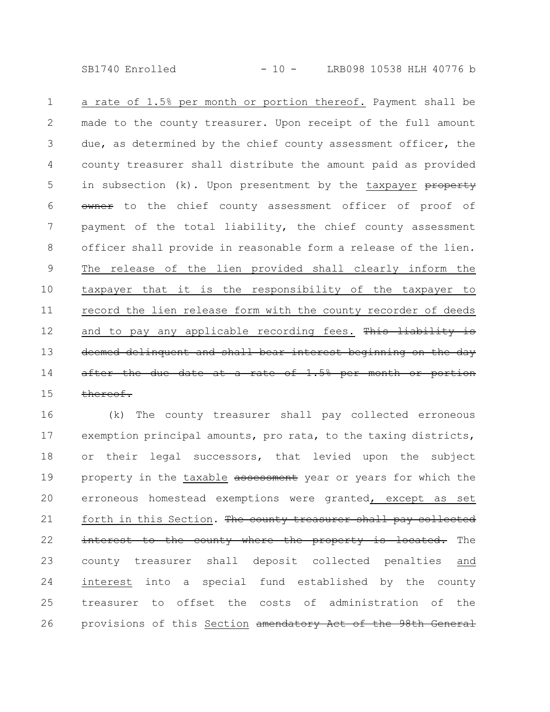SB1740 Enrolled - 10 - LRB098 10538 HLH 40776 b

a rate of 1.5% per month or portion thereof. Payment shall be made to the county treasurer. Upon receipt of the full amount due, as determined by the chief county assessment officer, the county treasurer shall distribute the amount paid as provided in subsection  $(k)$ . Upon presentment by the taxpayer property owner to the chief county assessment officer of proof of payment of the total liability, the chief county assessment officer shall provide in reasonable form a release of the lien. The release of the lien provided shall clearly inform the taxpayer that it is the responsibility of the taxpayer to record the lien release form with the county recorder of deeds and to pay any applicable recording fees. This liability is deemed delinquent and shall bear interest beginning on after the due date at a rate of  $1.5%$  per month or thereof. 1 2 3 4 5 6 7 8 9 10 11 12 13 14 15

(k) The county treasurer shall pay collected erroneous exemption principal amounts, pro rata, to the taxing districts, or their legal successors, that levied upon the subject property in the taxable assessment year or years for which the erroneous homestead exemptions were granted, except as set forth in this Section. The county treasurer shall pay collected interest to the county where the property is located. The county treasurer shall deposit collected penalties and interest into a special fund established by the county treasurer to offset the costs of administration of the provisions of this Section amendatory Act of the 98th General 16 17 18 19 20 21 22 23 24 25 26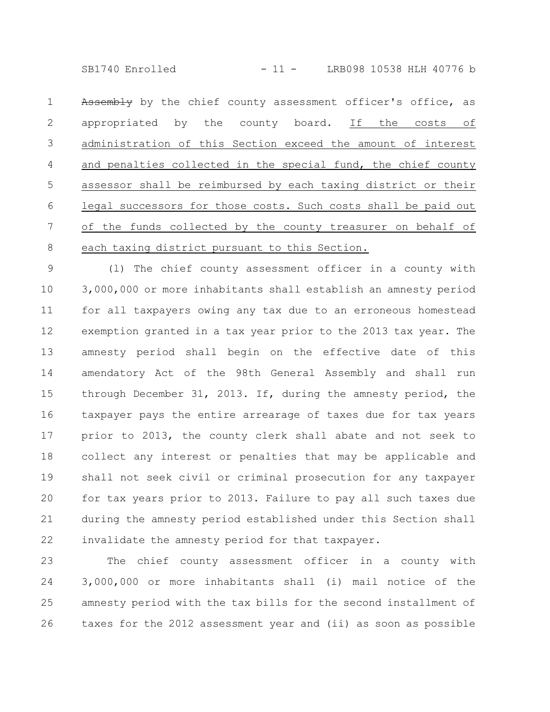SB1740 Enrolled - 11 - LRB098 10538 HLH 40776 b

Assembly by the chief county assessment officer's office, as appropriated by the county board. If the costs of administration of this Section exceed the amount of interest and penalties collected in the special fund, the chief county assessor shall be reimbursed by each taxing district or their legal successors for those costs. Such costs shall be paid out of the funds collected by the county treasurer on behalf of each taxing district pursuant to this Section. 1 2 3 4 5 6 7 8

(l) The chief county assessment officer in a county with 3,000,000 or more inhabitants shall establish an amnesty period for all taxpayers owing any tax due to an erroneous homestead exemption granted in a tax year prior to the 2013 tax year. The amnesty period shall begin on the effective date of this amendatory Act of the 98th General Assembly and shall run through December 31, 2013. If, during the amnesty period, the taxpayer pays the entire arrearage of taxes due for tax years prior to 2013, the county clerk shall abate and not seek to collect any interest or penalties that may be applicable and shall not seek civil or criminal prosecution for any taxpayer for tax years prior to 2013. Failure to pay all such taxes due during the amnesty period established under this Section shall invalidate the amnesty period for that taxpayer. 9 10 11 12 13 14 15 16 17 18 19 20 21 22

The chief county assessment officer in a county with 3,000,000 or more inhabitants shall (i) mail notice of the amnesty period with the tax bills for the second installment of taxes for the 2012 assessment year and (ii) as soon as possible 23 24 25 26